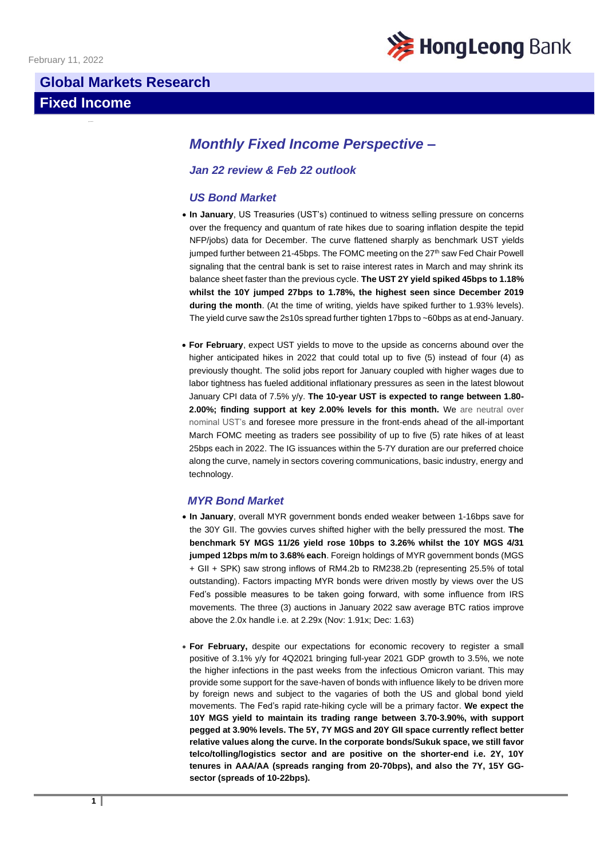

# **Global Markets Research**

# **Fixed Income**

# *Monthly Fixed Income Perspective –*

# *Jan 22 review & Feb 22 outlook*

## *US Bond Market*

- **In January**, US Treasuries (UST's) continued to witness selling pressure on concerns over the frequency and quantum of rate hikes due to soaring inflation despite the tepid NFP/jobs) data for December. The curve flattened sharply as benchmark UST yields jumped further between 21-45bps. The FOMC meeting on the 27<sup>th</sup> saw Fed Chair Powell signaling that the central bank is set to raise interest rates in March and may shrink its balance sheet faster than the previous cycle. **The UST 2Y yield spiked 45bps to 1.18% whilst the 10Y jumped 27bps to 1.78%, the highest seen since December 2019 during the month**. (At the time of writing, yields have spiked further to 1.93% levels). The yield curve saw the 2s10s spread further tighten 17bps to ~60bps as at end-January.
- **For February**, expect UST yields to move to the upside as concerns abound over the higher anticipated hikes in 2022 that could total up to five (5) instead of four (4) as previously thought. The solid jobs report for January coupled with higher wages due to labor tightness has fueled additional inflationary pressures as seen in the latest blowout January CPI data of 7.5% y/y. **The 10-year UST is expected to range between 1.80- 2.00%; finding support at key 2.00% levels for this month.** We are neutral over nominal UST's and foresee more pressure in the front-ends ahead of the all-important March FOMC meeting as traders see possibility of up to five (5) rate hikes of at least 25bps each in 2022. The IG issuances within the 5-7Y duration are our preferred choice along the curve, namely in sectors covering communications, basic industry, energy and technology.

#### *MYR Bond Market*

- **In January**, overall MYR government bonds ended weaker between 1-16bps save for the 30Y GII. The govvies curves shifted higher with the belly pressured the most. **The benchmark 5Y MGS 11/26 yield rose 10bps to 3.26% whilst the 10Y MGS 4/31 jumped 12bps m/m to 3.68% each**. Foreign holdings of MYR government bonds (MGS + GII + SPK) saw strong inflows of RM4.2b to RM238.2b (representing 25.5% of total outstanding). Factors impacting MYR bonds were driven mostly by views over the US Fed's possible measures to be taken going forward, with some influence from IRS movements. The three (3) auctions in January 2022 saw average BTC ratios improve above the 2.0x handle i.e. at 2.29x (Nov: 1.91x; Dec: 1.63)
- **For February,** despite our expectations for economic recovery to register a small positive of 3.1% y/y for 4Q2021 bringing full-year 2021 GDP growth to 3.5%, we note the higher infections in the past weeks from the infectious Omicron variant. This may provide some support for the save-haven of bonds with influence likely to be driven more by foreign news and subject to the vagaries of both the US and global bond yield movements. The Fed's rapid rate-hiking cycle will be a primary factor. **We expect the 10Y MGS yield to maintain its trading range between 3.70-3.90%, with support pegged at 3.90% levels. The 5Y, 7Y MGS and 20Y GII space currently reflect better relative values along the curve. In the corporate bonds/Sukuk space, we still favor telco/tolling/logistics sector and are positive on the shorter-end i.e. 2Y, 10Y tenures in AAA/AA (spreads ranging from 20-70bps), and also the 7Y, 15Y GGsector (spreads of 10-22bps).**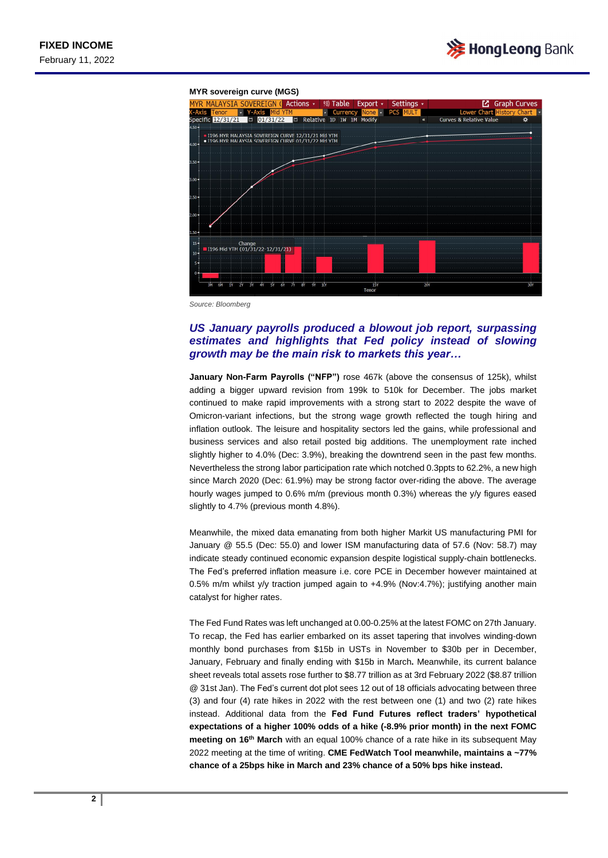

#### **MYR sovereign curve (MGS)**



*Source: Bloomberg*

## *US January payrolls produced a blowout job report, surpassing estimates and highlights that Fed policy instead of slowing growth may be the main risk to markets this year…*

**January Non-Farm Payrolls ("NFP")** rose 467k (above the consensus of 125k), whilst adding a bigger upward revision from 199k to 510k for December. The jobs market continued to make rapid improvements with a strong start to 2022 despite the wave of Omicron-variant infections, but the strong wage growth reflected the tough hiring and inflation outlook. The leisure and hospitality sectors led the gains, while professional and business services and also retail posted big additions. The unemployment rate inched slightly higher to 4.0% (Dec: 3.9%), breaking the downtrend seen in the past few months. Nevertheless the strong labor participation rate which notched 0.3ppts to 62.2%, a new high since March 2020 (Dec: 61.9%) may be strong factor over-riding the above. The average hourly wages jumped to 0.6% m/m (previous month 0.3%) whereas the y/y figures eased slightly to 4.7% (previous month 4.8%).

Meanwhile, the mixed data emanating from both higher Markit US manufacturing PMI for January @ 55.5 (Dec: 55.0) and lower ISM manufacturing data of 57.6 (Nov: 58.7) may indicate steady continued economic expansion despite logistical supply-chain bottlenecks. The Fed's preferred inflation measure i.e. core PCE in December however maintained at 0.5% m/m whilst y/y traction jumped again to +4.9% (Nov:4.7%); justifying another main catalyst for higher rates.

The Fed Fund Rates was left unchanged at 0.00-0.25% at the latest FOMC on 27th January. To recap, the Fed has earlier embarked on its asset tapering that involves winding-down monthly bond purchases from \$15b in USTs in November to \$30b per in December, January, February and finally ending with \$15b in March**.** Meanwhile, its current balance sheet reveals total assets rose further to \$8.77 trillion as at 3rd February 2022 (\$8.87 trillion @ 31st Jan). The Fed's current dot plot sees 12 out of 18 officials advocating between three (3) and four (4) rate hikes in 2022 with the rest between one (1) and two (2) rate hikes instead. Additional data from the **Fed Fund Futures reflect traders' hypothetical expectations of a higher 100% odds of a hike (-8.9% prior month) in the next FOMC meeting on 16th March** with an equal 100% chance of a rate hike in its subsequent May 2022 meeting at the time of writing. **CME FedWatch Tool meanwhile, maintains a ~77% chance of a 25bps hike in March and 23% chance of a 50% bps hike instead.**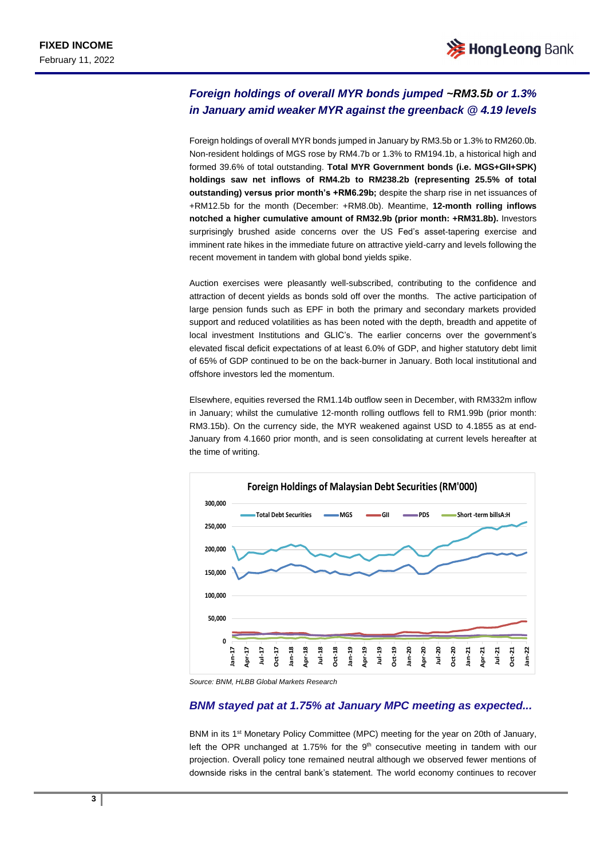# *Foreign holdings of overall MYR bonds jumped ~RM3.5b or 1.3% in January amid weaker MYR against the greenback @ 4.19 levels*

Foreign holdings of overall MYR bonds jumped in January by RM3.5b or 1.3% to RM260.0b. Non-resident holdings of MGS rose by RM4.7b or 1.3% to RM194.1b, a historical high and formed 39.6% of total outstanding. **Total MYR Government bonds (i.e. MGS+GII+SPK) holdings saw net inflows of RM4.2b to RM238.2b (representing 25.5% of total outstanding) versus prior month's +RM6.29b;** despite the sharp rise in net issuances of +RM12.5b for the month (December: +RM8.0b). Meantime, **12-month rolling inflows notched a higher cumulative amount of RM32.9b (prior month: +RM31.8b).** Investors surprisingly brushed aside concerns over the US Fed's asset-tapering exercise and imminent rate hikes in the immediate future on attractive yield-carry and levels following the recent movement in tandem with global bond yields spike.

Auction exercises were pleasantly well-subscribed, contributing to the confidence and attraction of decent yields as bonds sold off over the months. The active participation of large pension funds such as EPF in both the primary and secondary markets provided support and reduced volatilities as has been noted with the depth, breadth and appetite of local investment Institutions and GLIC's. The earlier concerns over the government's elevated fiscal deficit expectations of at least 6.0% of GDP, and higher statutory debt limit of 65% of GDP continued to be on the back-burner in January. Both local institutional and offshore investors led the momentum.

Elsewhere, equities reversed the RM1.14b outflow seen in December, with RM332m inflow in January; whilst the cumulative 12-month rolling outflows fell to RM1.99b (prior month: RM3.15b). On the currency side, the MYR weakened against USD to 4.1855 as at end-January from 4.1660 prior month, and is seen consolidating at current levels hereafter at the time of writing.



*Source: BNM, HLBB Global Markets Research*

#### *BNM stayed pat at 1.75% at January MPC meeting as expected...*

BNM in its 1<sup>st</sup> Monetary Policy Committee (MPC) meeting for the year on 20th of January, left the OPR unchanged at 1.75% for the  $9<sup>th</sup>$  consecutive meeting in tandem with our projection. Overall policy tone remained neutral although we observed fewer mentions of downside risks in the central bank's statement. The world economy continues to recover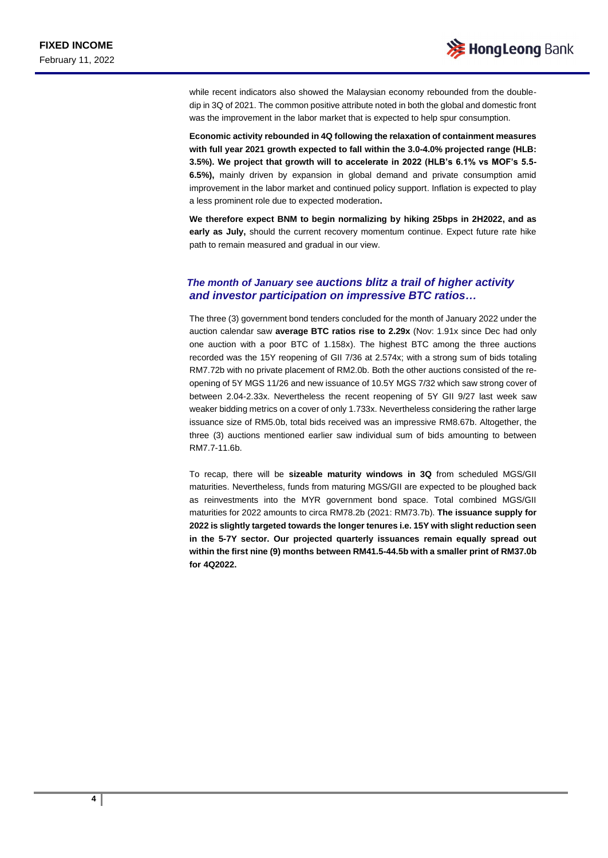while recent indicators also showed the Malaysian economy rebounded from the doubledip in 3Q of 2021. The common positive attribute noted in both the global and domestic front was the improvement in the labor market that is expected to help spur consumption.

**Economic activity rebounded in 4Q following the relaxation of containment measures with full year 2021 growth expected to fall within the 3.0-4.0% projected range (HLB: 3.5%). We project that growth will to accelerate in 2022 (HLB's 6.1% vs MOF's 5.5- 6.5%),** mainly driven by expansion in global demand and private consumption amid improvement in the labor market and continued policy support. Inflation is expected to play a less prominent role due to expected moderation**.**

**We therefore expect BNM to begin normalizing by hiking 25bps in 2H2022, and as early as July,** should the current recovery momentum continue. Expect future rate hike path to remain measured and gradual in our view.

#### *The month of January see auctions blitz a trail of higher activity and investor participation on impressive BTC ratios…*

The three (3) government bond tenders concluded for the month of January 2022 under the auction calendar saw **average BTC ratios rise to 2.29x** (Nov: 1.91x since Dec had only one auction with a poor BTC of 1.158x). The highest BTC among the three auctions recorded was the 15Y reopening of GII 7/36 at 2.574x; with a strong sum of bids totaling RM7.72b with no private placement of RM2.0b. Both the other auctions consisted of the reopening of 5Y MGS 11/26 and new issuance of 10.5Y MGS 7/32 which saw strong cover of between 2.04-2.33x. Nevertheless the recent reopening of 5Y GII 9/27 last week saw weaker bidding metrics on a cover of only 1.733x. Nevertheless considering the rather large issuance size of RM5.0b, total bids received was an impressive RM8.67b. Altogether, the three (3) auctions mentioned earlier saw individual sum of bids amounting to between RM7.7-11.6b.

To recap, there will be **sizeable maturity windows in 3Q** from scheduled MGS/GII maturities. Nevertheless, funds from maturing MGS/GII are expected to be ploughed back as reinvestments into the MYR government bond space. Total combined MGS/GII maturities for 2022 amounts to circa RM78.2b (2021: RM73.7b). **The issuance supply for 2022 is slightly targeted towards the longer tenures i.e. 15Y with slight reduction seen in the 5-7Y sector. Our projected quarterly issuances remain equally spread out within the first nine (9) months between RM41.5-44.5b with a smaller print of RM37.0b for 4Q2022.**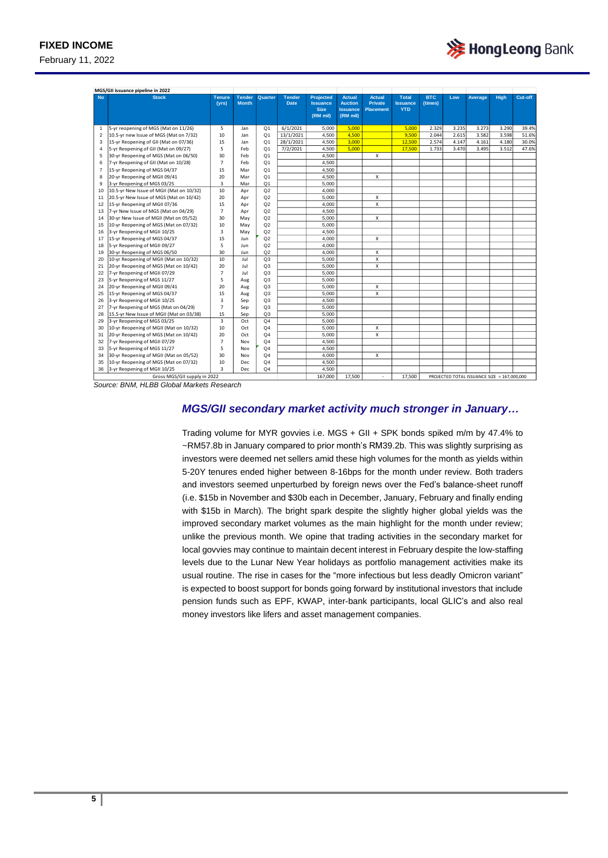February 11, 2022

| MGS/GII issuance pipeline in 2022 |                                          |                         |                               |                |                              |                                                                |                                                                |                                                     |                                               |                       |       |                                             |             |         |
|-----------------------------------|------------------------------------------|-------------------------|-------------------------------|----------------|------------------------------|----------------------------------------------------------------|----------------------------------------------------------------|-----------------------------------------------------|-----------------------------------------------|-----------------------|-------|---------------------------------------------|-------------|---------|
| <b>No</b>                         | <b>Stock</b>                             | <b>Tenure</b><br>(yrs)  | <b>Tender</b><br><b>Month</b> | Quarter        | <b>Tender</b><br><b>Date</b> | <b>Projected</b><br><b>Issuance</b><br><b>Size</b><br>(RM mil) | <b>Actual</b><br><b>Auction</b><br><b>Issuance</b><br>(RM mil) | <b>Actual</b><br><b>Private</b><br><b>Placement</b> | <b>Total</b><br><b>Issuance</b><br><b>YTD</b> | <b>BTC</b><br>(times) | Low   | Average                                     | <b>High</b> | Cut-off |
| $\mathbf{1}$                      | 5-yr reopening of MGS (Mat on 11/26)     | 5                       | Jan                           | Q <sub>1</sub> | 6/1/2021                     | 5,000                                                          | 5.000                                                          |                                                     | 5.000                                         | 2.329                 | 3.235 | 3.273                                       | 3.290       | 39.4%   |
| $\overline{2}$                    | 10.5-yr new Issue of MGS (Mat on 7/32)   | 10                      | Jan                           | Q <sub>1</sub> | 13/1/2021                    | 4.500                                                          | 4,500                                                          |                                                     | 9.500                                         | 2.044                 | 2.615 | 3.582                                       | 3.598       | 51.6%   |
| 3                                 | 15-yr Reopening of GII (Mat on 07/36)    | 15                      | Jan                           | Q <sub>1</sub> | 28/1/2021                    | 4,500                                                          | 3.000                                                          |                                                     | 12,500                                        | 2.574                 | 4.147 | 4.161                                       | 4.180       | 30.0%   |
| $\overline{4}$                    | 5-yr Reopening of GII (Mat on 09/27)     | 5                       | Feb                           | O <sub>1</sub> | 7/2/2021                     | 4,500                                                          | 5,000                                                          |                                                     | 17,500                                        | 1.733                 | 3.470 | 3.495                                       | 3.512       | 47.6%   |
| 5                                 | 30-yr Reopening of MGS (Mat on 06/50)    | 30                      | Feb                           | Q <sub>1</sub> |                              | 4,500                                                          |                                                                | X                                                   |                                               |                       |       |                                             |             |         |
| 6                                 | 7-yr Reopening of GII (Mat on 10/28)     | $\overline{7}$          | Feb                           | O <sub>1</sub> |                              | 4,500                                                          |                                                                |                                                     |                                               |                       |       |                                             |             |         |
| $\overline{7}$                    | 15-yr Reopening of MGS 04/37             | 15                      | Mar                           | Q <sub>1</sub> |                              | 4,500                                                          |                                                                |                                                     |                                               |                       |       |                                             |             |         |
| 8                                 | 20-yr Reopening of MGII 09/41            | 20                      | Mar                           | Q <sub>1</sub> |                              | 4,500                                                          |                                                                | X                                                   |                                               |                       |       |                                             |             |         |
| 9                                 | 3-yr Reopening of MGS 03/25              | $\overline{3}$          | Mar                           | Q <sub>1</sub> |                              | 5,000                                                          |                                                                |                                                     |                                               |                       |       |                                             |             |         |
| 10                                | 10.5-yr New Issue of MGII (Mat on 10/32) | 10                      | Apr                           | Q2             |                              | 4,000                                                          |                                                                |                                                     |                                               |                       |       |                                             |             |         |
| 11                                | 20.5-yr New Issue of MGS (Mat on 10/42)  | 20                      | Apr                           | Q2             |                              | 5,000                                                          |                                                                | X                                                   |                                               |                       |       |                                             |             |         |
| 12                                | 15-yr Reopening of MGII 07/36            | 15                      | Apr                           | Q2             |                              | 4.000                                                          |                                                                | X                                                   |                                               |                       |       |                                             |             |         |
| 13                                | 7-yr New Issue of MGS (Mat on 04/29)     | $\overline{7}$          | Apr                           | Q2             |                              | 4.500                                                          |                                                                |                                                     |                                               |                       |       |                                             |             |         |
| 14                                | 30-vr New Issue of MGII (Mat on 05/52)   | 30                      | May                           | Q2             |                              | 5.000                                                          |                                                                | X                                                   |                                               |                       |       |                                             |             |         |
| 15                                | 10-yr Reopening of MGS (Mat on 07/32)    | 10                      | May                           | Q2             |                              | 5.000                                                          |                                                                |                                                     |                                               |                       |       |                                             |             |         |
| 16                                | 3-yr Reopening of MGII 10/25             | $\overline{\mathbf{3}}$ | May                           | Q2             |                              | 4.500                                                          |                                                                |                                                     |                                               |                       |       |                                             |             |         |
| 17                                | 15-yr Reopening of MGS 04/37             | 15                      | Jun                           | Q2             |                              | 4.000                                                          |                                                                | X                                                   |                                               |                       |       |                                             |             |         |
| 18                                | 5-yr Reopening of MGII 09/27             | 5                       | Jun                           | Q2             |                              | 4.000                                                          |                                                                |                                                     |                                               |                       |       |                                             |             |         |
| 19                                | 30-yr Reopening of MGS 06/50             | 30                      | Jun                           | Q2             |                              | 4.000                                                          |                                                                | X                                                   |                                               |                       |       |                                             |             |         |
| 20                                | 10-yr Reopening of MGII (Mat on 10/32)   | 10                      | Jul                           | Q <sub>3</sub> |                              | 5.000                                                          |                                                                | X                                                   |                                               |                       |       |                                             |             |         |
| 21                                | 20-yr Reopening of MGS (Mat on 10/42)    | 20                      | Jul                           | Q <sub>3</sub> |                              | 5.000                                                          |                                                                | X                                                   |                                               |                       |       |                                             |             |         |
| 22                                | 7-yr Reopening of MGII 07/29             | $\overline{7}$          | Jul                           | Q <sub>3</sub> |                              | 5.000                                                          |                                                                |                                                     |                                               |                       |       |                                             |             |         |
| 23                                | 5-yr Reopening of MGS 11/27              | 5                       | Aug                           | Q <sub>3</sub> |                              | 5.000                                                          |                                                                |                                                     |                                               |                       |       |                                             |             |         |
| 24                                | 20-yr Reopening of MGII 09/41            | 20                      | Aug                           | Q <sub>3</sub> |                              | 5,000                                                          |                                                                | x                                                   |                                               |                       |       |                                             |             |         |
| 25                                | 15-yr Reopening of MGS 04/37             | 15                      | Aug                           | Q <sub>3</sub> |                              | 5.000                                                          |                                                                | X                                                   |                                               |                       |       |                                             |             |         |
| 26                                | 3-yr Reopening of MGII 10/25             | $\overline{3}$          | Sep                           | Q <sub>3</sub> |                              | 4.500                                                          |                                                                |                                                     |                                               |                       |       |                                             |             |         |
| 27                                | 7-yr Reopening of MGS (Mat on 04/29)     | $\overline{7}$          | Sep                           | Q <sub>3</sub> |                              | 5,000                                                          |                                                                |                                                     |                                               |                       |       |                                             |             |         |
| 28                                | 15.5-yr New Issue of MGII (Mat on 03/38) | 15                      | Sep                           | Q <sub>3</sub> |                              | 5.000                                                          |                                                                |                                                     |                                               |                       |       |                                             |             |         |
| 29                                | 3-yr Reopening of MGS 03/25              | $\overline{3}$          | Oct                           | Q <sub>4</sub> |                              | 5.000                                                          |                                                                |                                                     |                                               |                       |       |                                             |             |         |
| 30                                | 10-yr Reopening of MGII (Mat on 10/32)   | 10                      | Oct                           | Q <sub>4</sub> |                              | 5,000                                                          |                                                                | x                                                   |                                               |                       |       |                                             |             |         |
| 31                                | 20-yr Reopening of MGS (Mat on 10/42)    | 20                      | Oct                           | Q <sub>4</sub> |                              | 5.000                                                          |                                                                | X                                                   |                                               |                       |       |                                             |             |         |
| 32                                | 7-yr Reopening of MGII 07/29             | $\overline{7}$          | Nov                           | Q <sub>4</sub> |                              | 4.500                                                          |                                                                |                                                     |                                               |                       |       |                                             |             |         |
| 33                                | 5-yr Reopening of MGS 11/27              | 5                       | Nov                           | Q <sub>4</sub> |                              | 4.500                                                          |                                                                |                                                     |                                               |                       |       |                                             |             |         |
| 34                                | 30-yr Reopening of MGII (Mat on 05/52)   | 30                      | Nov                           | Q <sub>4</sub> |                              | 4.000                                                          |                                                                | X                                                   |                                               |                       |       |                                             |             |         |
| 35                                | 10-yr Reopening of MGS (Mat on 07/32)    | 10                      | Dec                           | Q <sub>4</sub> |                              | 4.500                                                          |                                                                |                                                     |                                               |                       |       |                                             |             |         |
| 36                                | 3-yr Reopening of MGII 10/25             | $\overline{3}$          | <b>Dec</b>                    | Q <sub>4</sub> |                              | 4.500                                                          |                                                                |                                                     |                                               |                       |       |                                             |             |         |
| Gross MGS/GII supply in 2022      |                                          |                         |                               |                |                              | 167.000                                                        | 17.500                                                         | ÷.                                                  | 17.500                                        |                       |       | PROJECTED TOTAL ISSUANCE SIZE = 167,000,000 |             |         |

*Source: BNM, HLBB Global Markets Research*

## *MGS/GII secondary market activity much stronger in January…*

Trading volume for MYR govvies i.e. MGS + GII + SPK bonds spiked m/m by 47.4% to ~RM57.8b in January compared to prior month's RM39.2b. This was slightly surprising as investors were deemed net sellers amid these high volumes for the month as yields within 5-20Y tenures ended higher between 8-16bps for the month under review. Both traders and investors seemed unperturbed by foreign news over the Fed's balance-sheet runoff (i.e. \$15b in November and \$30b each in December, January, February and finally ending with \$15b in March). The bright spark despite the slightly higher global yields was the improved secondary market volumes as the main highlight for the month under review; unlike the previous month. We opine that trading activities in the secondary market for local govvies may continue to maintain decent interest in February despite the low-staffing levels due to the Lunar New Year holidays as portfolio management activities make its usual routine. The rise in cases for the "more infectious but less deadly Omicron variant" is expected to boost support for bonds going forward by institutional investors that include pension funds such as EPF, KWAP, inter-bank participants, local GLIC's and also real money investors like lifers and asset management companies.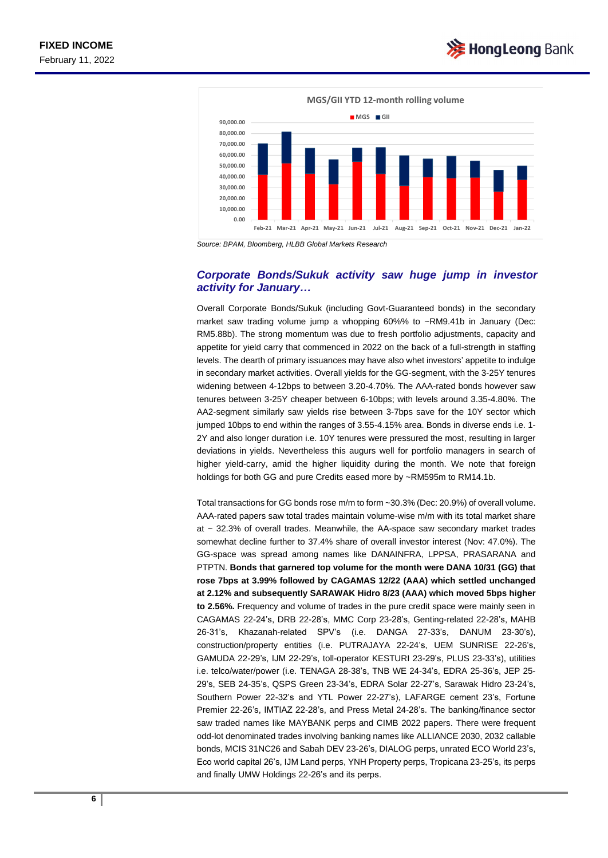

*Source: BPAM, Bloomberg, HLBB Global Markets Research*

#### *Corporate Bonds/Sukuk activity saw huge jump in investor activity for January…*

Overall Corporate Bonds/Sukuk (including Govt-Guaranteed bonds) in the secondary market saw trading volume jump a whopping 60%% to ~RM9.41b in January (Dec: RM5.88b). The strong momentum was due to fresh portfolio adjustments, capacity and appetite for yield carry that commenced in 2022 on the back of a full-strength in staffing levels. The dearth of primary issuances may have also whet investors' appetite to indulge in secondary market activities. Overall yields for the GG-segment, with the 3-25Y tenures widening between 4-12bps to between 3.20-4.70%. The AAA-rated bonds however saw tenures between 3-25Y cheaper between 6-10bps; with levels around 3.35-4.80%. The AA2-segment similarly saw yields rise between 3-7bps save for the 10Y sector which jumped 10bps to end within the ranges of 3.55-4.15% area. Bonds in diverse ends i.e. 1- 2Y and also longer duration i.e. 10Y tenures were pressured the most, resulting in larger deviations in yields. Nevertheless this augurs well for portfolio managers in search of higher yield-carry, amid the higher liquidity during the month. We note that foreign holdings for both GG and pure Credits eased more by ~RM595m to RM14.1b.

Total transactions for GG bonds rose m/m to form ~30.3% (Dec: 20.9%) of overall volume. AAA-rated papers saw total trades maintain volume-wise m/m with its total market share at  $\sim$  32.3% of overall trades. Meanwhile, the AA-space saw secondary market trades somewhat decline further to 37.4% share of overall investor interest (Nov: 47.0%). The GG-space was spread among names like DANAINFRA, LPPSA, PRASARANA and PTPTN. **Bonds that garnered top volume for the month were DANA 10/31 (GG) that rose 7bps at 3.99% followed by CAGAMAS 12/22 (AAA) which settled unchanged at 2.12% and subsequently SARAWAK Hidro 8/23 (AAA) which moved 5bps higher to 2.56%.** Frequency and volume of trades in the pure credit space were mainly seen in CAGAMAS 22-24's, DRB 22-28's, MMC Corp 23-28's, Genting-related 22-28's, MAHB 26-31's, Khazanah-related SPV's (i.e. DANGA 27-33's, DANUM 23-30's), construction/property entities (i.e. PUTRAJAYA 22-24's, UEM SUNRISE 22-26's, GAMUDA 22-29's, IJM 22-29's, toll-operator KESTURI 23-29's, PLUS 23-33's), utilities i.e. telco/water/power (i.e. TENAGA 28-38's, TNB WE 24-34's, EDRA 25-36's, JEP 25- 29's, SEB 24-35's, QSPS Green 23-34's, EDRA Solar 22-27's, Sarawak Hidro 23-24's, Southern Power 22-32's and YTL Power 22-27's), LAFARGE cement 23's, Fortune Premier 22-26's, IMTIAZ 22-28's, and Press Metal 24-28's. The banking/finance sector saw traded names like MAYBANK perps and CIMB 2022 papers. There were frequent odd-lot denominated trades involving banking names like ALLIANCE 2030, 2032 callable bonds, MCIS 31NC26 and Sabah DEV 23-26's, DIALOG perps, unrated ECO World 23's, Eco world capital 26's, IJM Land perps, YNH Property perps, Tropicana 23-25's, its perps and finally UMW Holdings 22-26's and its perps.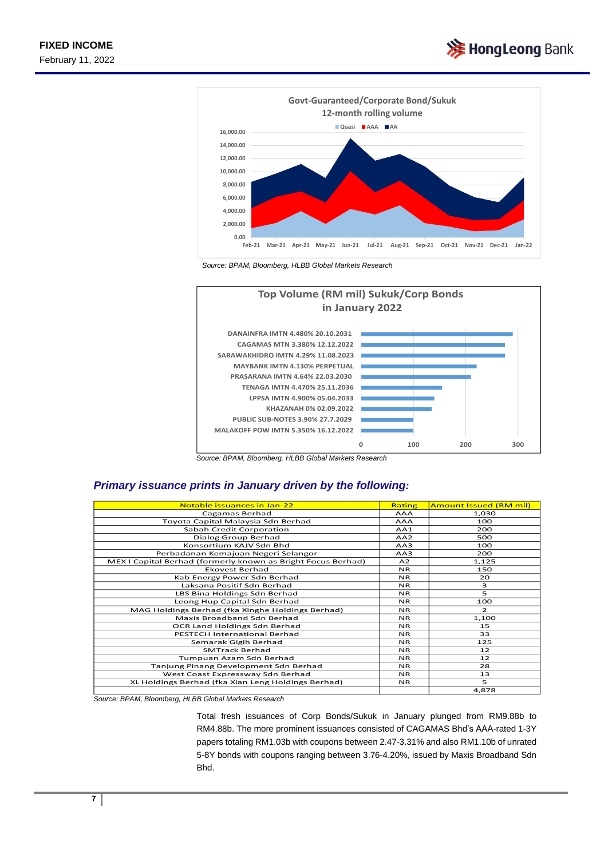



*Source: BPAM, Bloomberg, HLBB Global Markets Research*





## *Primary issuance prints in January driven by the following:*

| Notable issuances in Jan-22                                  | Rating          | <b>Amount Issued (RM mil)</b> |
|--------------------------------------------------------------|-----------------|-------------------------------|
| Cagamas Berhad                                               | <b>AAA</b>      | 1,030                         |
| Toyota Capital Malaysia Sdn Berhad                           | <b>AAA</b>      | 100                           |
| Sabah Credit Corporation                                     | AA1             | 200                           |
| Dialog Group Berhad                                          | AA <sub>2</sub> | 500                           |
| Konsortium KAJV Sdn Bhd                                      | AA3             | 100                           |
| Perbadanan Kemajuan Negeri Selangor                          | AA3             | 200                           |
| MEX I Capital Berhad (formerly known as Bright Focus Berhad) | A <sub>2</sub>  | 1,125                         |
| <b>Ekovest Berhad</b>                                        | <b>NR</b>       | 150                           |
| Kab Energy Power Sdn Berhad                                  | <b>NR</b>       | 20                            |
| Laksana Positif Sdn Berhad                                   | NR.             | 3                             |
| LBS Bina Holdings Sdn Berhad                                 | NR.             | 5                             |
| Leong Hup Capital Sdn Berhad                                 | NR.             | 100                           |
| MAG Holdings Berhad (fka Xinghe Holdings Berhad)             | NR.             | $\overline{2}$                |
| Maxis Broadband Sdn Berhad                                   | NR.             | 1,100                         |
| OCR Land Holdings Sdn Berhad                                 | NR.             | 15                            |
| <b>PESTECH International Berhad</b>                          | NR.             | 33                            |
| Semarak Gigih Berhad                                         | NR.             | 125                           |
| <b>SMTrack Berhad</b>                                        | NR.             | 12                            |
| Tumpuan Azam Sdn Berhad                                      | NR.             | 12                            |
| Tanjung Pinang Development Sdn Berhad                        | NR.             | 28                            |
| West Coast Expressway Sdn Berhad                             | NR.             | 13                            |
| XL Holdings Berhad (fka Xian Leng Holdings Berhad)           | NR.             | 5                             |
|                                                              |                 | 4,878                         |

*Source: BPAM, Bloomberg, HLBB Global Markets Research*

Total fresh issuances of Corp Bonds/Sukuk in January plunged from RM9.88b to RM4.88b. The more prominent issuances consisted of CAGAMAS Bhd's AAA-rated 1-3Y papers totaling RM1.03b with coupons between 2.47-3.31% and also RM1.10b of unrated 5-8Y bonds with coupons ranging between 3.76-4.20%, issued by Maxis Broadband Sdn Bhd.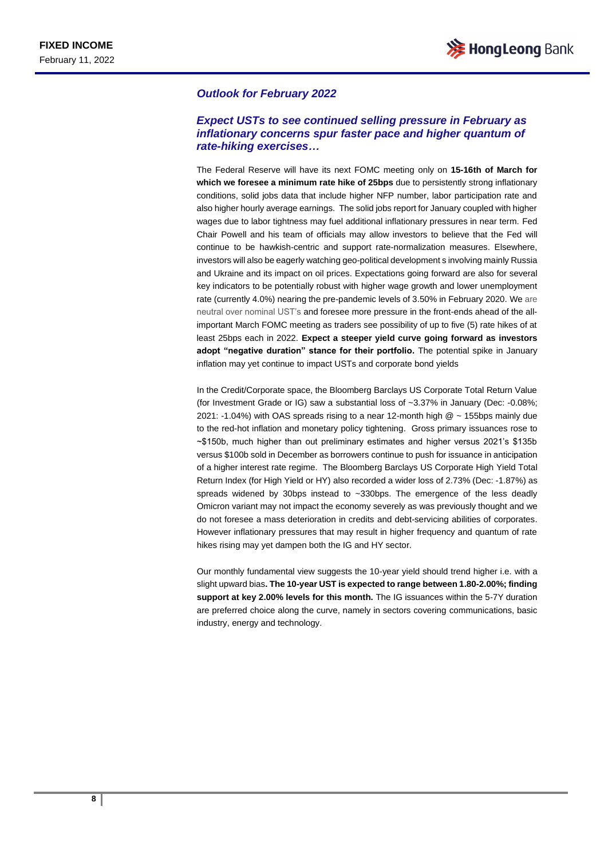#### *Outlook for February 2022*

#### *Expect USTs to see continued selling pressure in February as inflationary concerns spur faster pace and higher quantum of rate-hiking exercises…*

The Federal Reserve will have its next FOMC meeting only on **15-16th of March for which we foresee a minimum rate hike of 25bps** due to persistently strong inflationary conditions, solid jobs data that include higher NFP number, labor participation rate and also higher hourly average earnings. The solid jobs report for January coupled with higher wages due to labor tightness may fuel additional inflationary pressures in near term. Fed Chair Powell and his team of officials may allow investors to believe that the Fed will continue to be hawkish-centric and support rate-normalization measures. Elsewhere, investors will also be eagerly watching geo-political development s involving mainly Russia and Ukraine and its impact on oil prices. Expectations going forward are also for several key indicators to be potentially robust with higher wage growth and lower unemployment rate (currently 4.0%) nearing the pre-pandemic levels of 3.50% in February 2020. We are neutral over nominal UST's and foresee more pressure in the front-ends ahead of the allimportant March FOMC meeting as traders see possibility of up to five (5) rate hikes of at least 25bps each in 2022. **Expect a steeper yield curve going forward as investors adopt "negative duration" stance for their portfolio.** The potential spike in January inflation may yet continue to impact USTs and corporate bond yields

In the Credit/Corporate space, the Bloomberg Barclays US Corporate Total Return Value (for Investment Grade or IG) saw a substantial loss of ~3.37% in January (Dec: -0.08%; 2021: -1.04%) with OAS spreads rising to a near 12-month high  $@$  ~ 155bps mainly due to the red-hot inflation and monetary policy tightening. Gross primary issuances rose to ~\$150b, much higher than out preliminary estimates and higher versus 2021's \$135b versus \$100b sold in December as borrowers continue to push for issuance in anticipation of a higher interest rate regime. The Bloomberg Barclays US Corporate High Yield Total Return Index (for High Yield or HY) also recorded a wider loss of 2.73% (Dec: -1.87%) as spreads widened by 30bps instead to ~330bps. The emergence of the less deadly Omicron variant may not impact the economy severely as was previously thought and we do not foresee a mass deterioration in credits and debt-servicing abilities of corporates. However inflationary pressures that may result in higher frequency and quantum of rate hikes rising may yet dampen both the IG and HY sector.

Our monthly fundamental view suggests the 10-year yield should trend higher i.e. with a slight upward bias**. The 10-year UST is expected to range between 1.80-2.00%; finding support at key 2.00% levels for this month.** The IG issuances within the 5-7Y duration are preferred choice along the curve, namely in sectors covering communications, basic industry, energy and technology.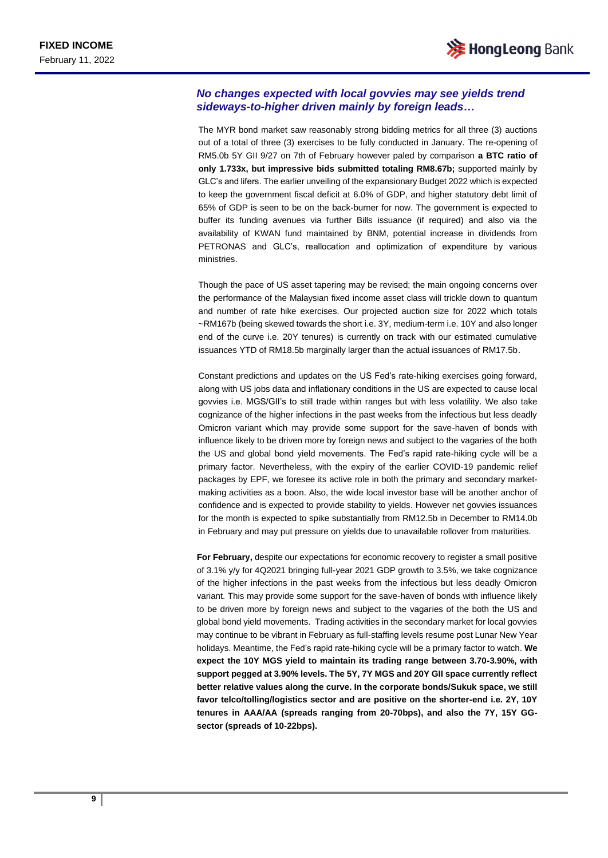#### *No changes expected with local govvies may see yields trend sideways-to-higher driven mainly by foreign leads…*

The MYR bond market saw reasonably strong bidding metrics for all three (3) auctions out of a total of three (3) exercises to be fully conducted in January. The re-opening of RM5.0b 5Y GII 9/27 on 7th of February however paled by comparison **a BTC ratio of only 1.733x, but impressive bids submitted totaling RM8.67b;** supported mainly by GLC's and lifers. The earlier unveiling of the expansionary Budget 2022 which is expected to keep the government fiscal deficit at 6.0% of GDP, and higher statutory debt limit of 65% of GDP is seen to be on the back-burner for now. The government is expected to buffer its funding avenues via further Bills issuance (if required) and also via the availability of KWAN fund maintained by BNM, potential increase in dividends from PETRONAS and GLC's, reallocation and optimization of expenditure by various ministries.

Though the pace of US asset tapering may be revised; the main ongoing concerns over the performance of the Malaysian fixed income asset class will trickle down to quantum and number of rate hike exercises. Our projected auction size for 2022 which totals ~RM167b (being skewed towards the short i.e. 3Y, medium-term i.e. 10Y and also longer end of the curve i.e. 20Y tenures) is currently on track with our estimated cumulative issuances YTD of RM18.5b marginally larger than the actual issuances of RM17.5b.

Constant predictions and updates on the US Fed's rate-hiking exercises going forward, along with US jobs data and inflationary conditions in the US are expected to cause local govvies i.e. MGS/GII's to still trade within ranges but with less volatility. We also take cognizance of the higher infections in the past weeks from the infectious but less deadly Omicron variant which may provide some support for the save-haven of bonds with influence likely to be driven more by foreign news and subject to the vagaries of the both the US and global bond yield movements. The Fed's rapid rate-hiking cycle will be a primary factor. Nevertheless, with the expiry of the earlier COVID-19 pandemic relief packages by EPF, we foresee its active role in both the primary and secondary marketmaking activities as a boon. Also, the wide local investor base will be another anchor of confidence and is expected to provide stability to yields. However net govvies issuances for the month is expected to spike substantially from RM12.5b in December to RM14.0b in February and may put pressure on yields due to unavailable rollover from maturities.

**For February,** despite our expectations for economic recovery to register a small positive of 3.1% y/y for 4Q2021 bringing full-year 2021 GDP growth to 3.5%, we take cognizance of the higher infections in the past weeks from the infectious but less deadly Omicron variant. This may provide some support for the save-haven of bonds with influence likely to be driven more by foreign news and subject to the vagaries of the both the US and global bond yield movements. Trading activities in the secondary market for local govvies may continue to be vibrant in February as full-staffing levels resume post Lunar New Year holidays. Meantime, the Fed's rapid rate-hiking cycle will be a primary factor to watch. **We expect the 10Y MGS yield to maintain its trading range between 3.70-3.90%, with support pegged at 3.90% levels. The 5Y, 7Y MGS and 20Y GII space currently reflect better relative values along the curve. In the corporate bonds/Sukuk space, we still favor telco/tolling/logistics sector and are positive on the shorter-end i.e. 2Y, 10Y tenures in AAA/AA (spreads ranging from 20-70bps), and also the 7Y, 15Y GGsector (spreads of 10-22bps).**